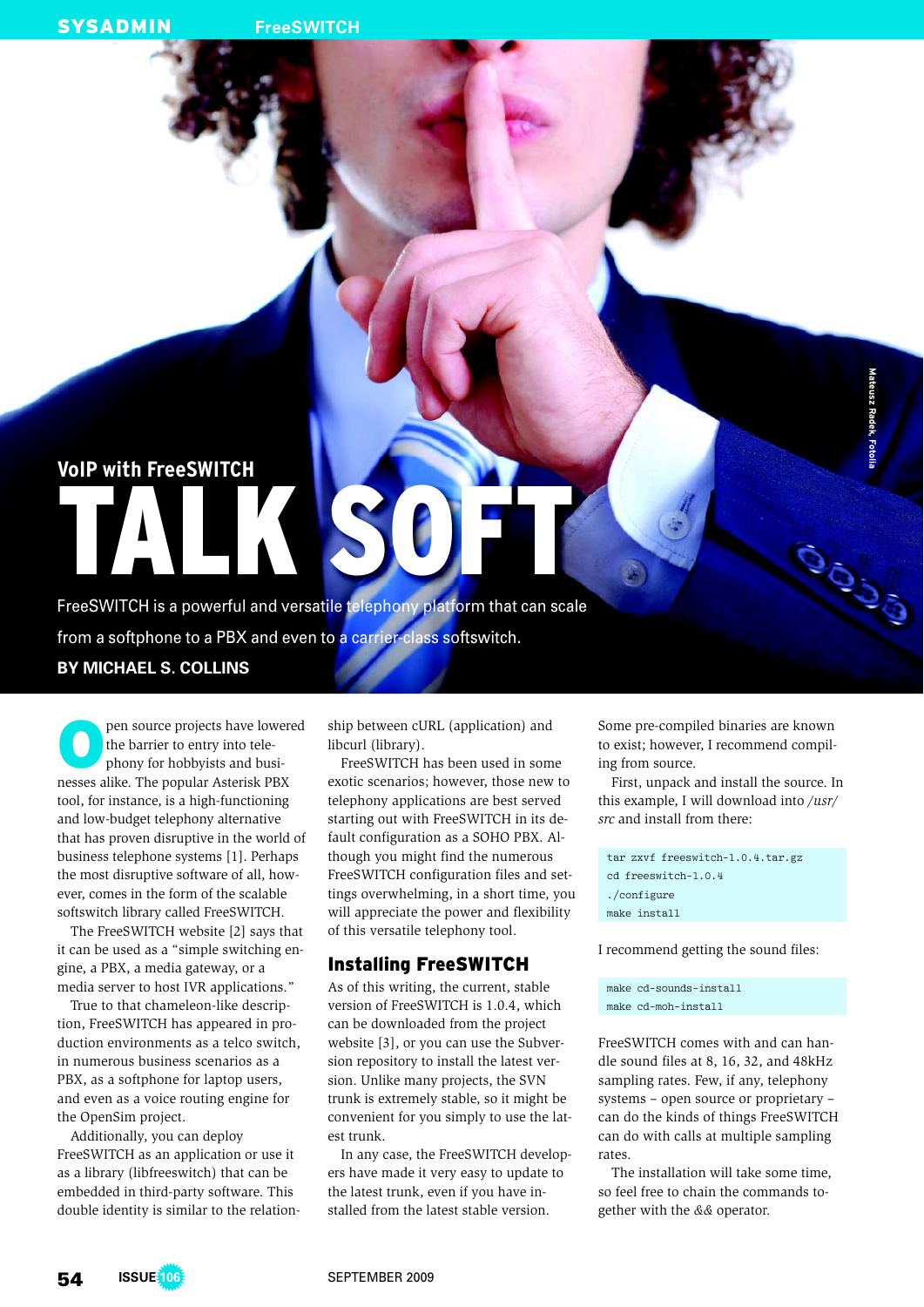# **VoIP with FreeSWITCH** TALK SOFT

FreeSWITCH is a powerful and versatile telephony platform that can scale from a softphone to a PBX and even to a carrier-class softswitch. **BY MICHAEL S. COLLINS**

O pen source projects have lowered the barrier to entry into telephony for hobbyists and businesses alike. The popular Asterisk PBX tool, for instance, is a high-functioning and low-budget telephony alternative that has proven disruptive in the world of business telephone systems [1]. Perhaps the most disruptive software of all, however, comes in the form of the scalable softswitch library called FreeSWITCH.

The FreeSWITCH website [2] says that it can be used as a "simple switching engine, a PBX, a media gateway, or a media server to host IVR applications."

True to that chameleon-like description, FreeSWITCH has appeared in production environments as a telco switch, in numerous business scenarios as a PBX, as a softphone for laptop users, and even as a voice routing engine for the OpenSim project.

Additionally, you can deploy FreeSWITCH as an application or use it as a library (libfreeswitch) that can be embedded in third-party software. This double identity is similar to the relation-

ship between cURL (application) and libcurl (library).

FreeSWITCH has been used in some exotic scenarios; however, those new to telephony applications are best served starting out with FreeSWITCH in its default configuration as a SOHO PBX. Although you might find the numerous Free SWITCH configuration files and settings overwhelming, in a short time, you will appreciate the power and flexibility of this versatile telephony tool.

# Installing FreeSWITCH

As of this writing, the current, stable version of FreeSWITCH is 1.0.4, which can be downloaded from the project website [3], or you can use the Subversion repository to install the latest version. Unlike many projects, the SVN trunk is extremely stable, so it might be convenient for you simply to use the latest trunk.

In any case, the FreeSWITCH developers have made it very easy to update to the latest trunk, even if you have installed from the latest stable version.

Some pre-compiled binaries are known to exist; however, I recommend compiling from source.

**Mateusz Radek, Fotolia**

OOSS

First, unpack and install the source. In this example, I will download into */usr/ src* and install from there:

tar zxvf freeswitch-1.0.4.tar.gz cd freeswitch-1.0.4 ./configure make install

I recommend getting the sound files:

make cd-sounds-install make cd-moh-install

FreeSWITCH comes with and can handle sound files at 8, 16, 32, and 48kHz sampling rates. Few, if any, telephony systems – open source or proprietary – can do the kinds of things FreeSWITCH can do with calls at multiple sampling rates.

The installation will take some time, so feel free to chain the commands together with the *&&* operator.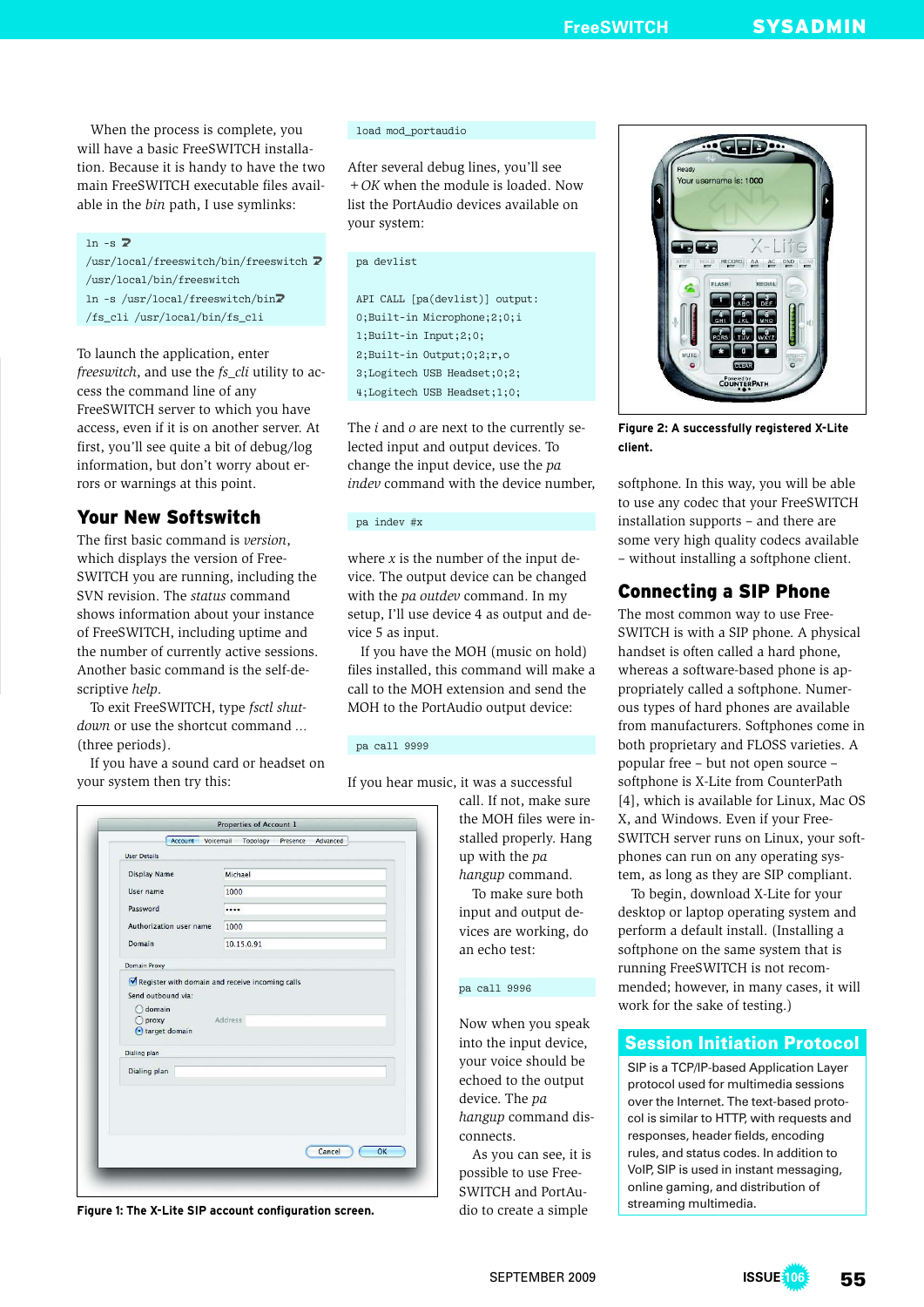**FreeSWITCH** SYSADMIN

When the process is complete, you will have a basic FreeSWITCH installation. Because it is handy to have the two main FreeSWITCH executable files available in the *bin* path, I use symlinks:

#### $ln -s$   $\overline{z}$

 $/$ usr/local/freeswitch/bin/freeswitch  $\overline{Z}$ /usr/local/bin/freeswitch ln -s /usr/local/freeswitch/bin $\sqrt{2}$ /fs\_cli /usr/local/bin/fs\_cli

To launch the application, enter *freeswitch*, and use the *fs\_cli* utility to access the command line of any FreeSWITCH server to which you have access, even if it is on another server. At first, you'll see quite a bit of debug/log information, but don't worry about errors or warnings at this point.

# Your New Softswitch

The first basic command is *version*, which displays the version of Free-SWITCH you are running, including the SVN revision. The *status* command shows information about your instance of FreeSWITCH, including uptime and the number of currently active sessions. Another basic command is the self-descriptive *help*.

To exit FreeSWITCH, type *fsctl shutdown* or use the shortcut command *...* (three periods).

If you have a sound card or headset on your system then try this:

| load mod_portaudio |  |  |
|--------------------|--|--|
|                    |  |  |

After several debug lines, you'll see *+OK* when the module is loaded. Now list the PortAudio devices available on your system:

#### pa devlist

API CALL [pa(devlist)] output: 0;Built-in Microphone;2;0;i 1;Built-in Input;2;0; 2;Built-in Output;0;2;r,o 3;Logitech USB Headset;0;2; 4;Logitech USB Headset;1;0;

The *i* and *o* are next to the currently selected input and output devices. To change the input device, use the *pa indev* command with the device number,

#### pa indev #x

where  $x$  is the number of the input device. The output device can be changed with the *pa outdev* command. In my setup, I'll use device 4 as output and device 5 as input.

If you have the MOH (music on hold) files installed, this command will make a call to the MOH extension and send the MOH to the PortAudio output device:

#### pa call 9999

If you hear music, it was a successful

call. If not, make sure the MOH files were installed properly. Hang up with the *pa hangup* command. To make sure both input and output devices are working, do

an echo test:

pa call 9996

connects.

Now when you speak into the input device, your voice should be echoed to the output device. The *pa hangup* command dis-

As you can see, it is possible to use Free-SWITCH and PortAudio to create a simple

| <b>User Details</b>          |            |  |
|------------------------------|------------|--|
| <b>Display Name</b>          | Michael    |  |
| User name                    | 1000       |  |
| Password                     |            |  |
| Authorization user name      | 1000       |  |
| Domain                       | 10.15.0.91 |  |
| Domain Proxy                 |            |  |
| target domain                |            |  |
|                              |            |  |
| Dialing plan<br>Dialing plan |            |  |
|                              |            |  |

**Figure 1: The X-Lite SIP account configuration screen.**

**GED**. Your username is: 1000 X-Lite  $\overline{\phantom{a}}$ RECORD AA AC DND **Inter COUNTERPAT** 

**Figure 2: A successfully registered X-Lite client.**

softphone. In this way, you will be able to use any codec that your FreeSWITCH installation supports – and there are some very high quality codecs available – without installing a softphone client.

# Connecting a SIP Phone

The most common way to use Free-SWITCH is with a SIP phone. A physical handset is often called a hard phone, whereas a software-based phone is appropriately called a softphone. Numerous types of hard phones are available from manufacturers. Softphones come in both proprietary and FLOSS varieties. A popular free – but not open source – softphone is X-Lite from CounterPath [4], which is available for Linux, Mac OS X, and Windows. Even if your Free-SWITCH server runs on Linux, your softphones can run on any operating system, as long as they are SIP compliant.

To begin, download X-Lite for your desktop or laptop operating system and perform a default install. (Installing a softphone on the same system that is running FreeSWITCH is not recommended; however, in many cases, it will work for the sake of testing.)

### Session Initiation Protocol

SIP is a TCP/IP-based Application Layer protocol used for multimedia sessions over the Internet. The text-based protocol is similar to HTTP, with requests and responses, header fields, encoding rules, and status codes. In addition to VoIP, SIP is used in instant messaging, online gaming, and distribution of streaming multimedia.

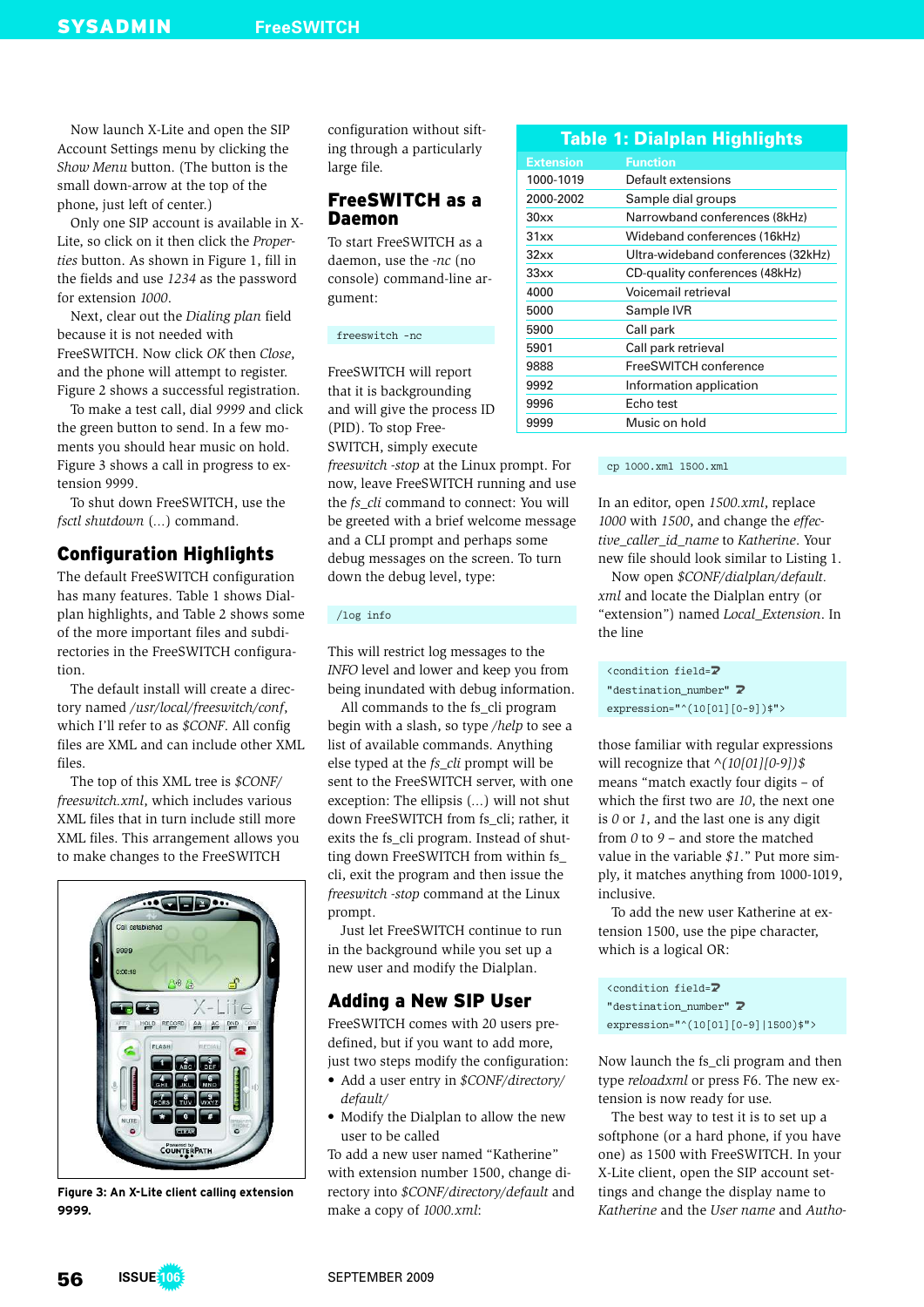Now launch X-Lite and open the SIP Account Settings menu by clicking the *Show Menu* button. (The button is the small down-arrow at the top of the phone, just left of center.)

Only one SIP account is available in X-Lite, so click on it then click the *Properties* button. As shown in Figure 1, fill in the fields and use *1234* as the password for extension *1000*.

Next, clear out the *Dialing plan* field because it is not needed with FreeSWITCH. Now click *OK* then *Close*, and the phone will attempt to register. Figure 2 shows a successful registration.

To make a test call, dial *9999* and click the green button to send. In a few moments you should hear music on hold. Figure 3 shows a call in progress to extension 9999.

To shut down FreeSWITCH, use the *fsctl shutdown* (*...*) command.

# Configuration Highlights

The default FreeSWITCH configuration has many features. Table 1 shows Dialplan highlights, and Table 2 shows some of the more important files and subdirectories in the FreeSWITCH configuration.

The default install will create a directory named */usr/local/freeswitch/conf*, which I'll refer to as *\$CONF*. All config files are XML and can include other XML files.

The top of this XML tree is *\$CONF/ freeswitch.xml*, which includes various XML files that in turn include still more XML files. This arrangement allows you to make changes to the FreeSWITCH



**Figure 3: An X-Lite client calling extension 9999.**

configuration without sifting through a particularly large file.

# FreeSWITCH as a Daemon

To start FreeSWITCH as a daemon, use the *-nc* (no console) command-line argument:

freeswitch -nc

FreeSWITCH will report that it is backgrounding and will give the process ID (PID). To stop Free-SWITCH, simply execute

*freeswitch -stop* at the Linux prompt. For now, leave FreeSWITCH running and use the *fs\_cli* command to connect: You will be greeted with a brief welcome message and a CLI prompt and perhaps some debug messages on the screen. To turn down the debug level, type:

#### /log info

This will restrict log messages to the *INFO* level and lower and keep you from being inundated with debug information.

All commands to the fs\_cli program begin with a slash, so type */help* to see a list of available commands. Anything else typed at the *fs\_cli* prompt will be sent to the FreeSWITCH server, with one exception: The ellipsis (*...*) will not shut down FreeSWITCH from fs\_cli; rather, it exits the fs\_cli program. Instead of shutting down FreeSWITCH from within fs\_ cli, exit the program and then issue the *freeswitch -stop* command at the Linux prompt.

Just let FreeSWITCH continue to run in the background while you set up a new user and modify the Dialplan.

# Adding a New SIP User

FreeSWITCH comes with 20 users predefined, but if you want to add more, just two steps modify the configuration:

- Add a user entry in *\$CONF/directory*/ *default/*
- Modify the Dialplan to allow the new user to be called

To add a new user named "Katherine" with extension number 1500, change directory into *\$CONF/directory/default* and make a copy of *1000.xml*:

| <b>Table 1: Dialplan Highlights</b> |                                    |  |  |
|-------------------------------------|------------------------------------|--|--|
| <b>Extension</b>                    | Function                           |  |  |
| 1000-1019                           | Default extensions                 |  |  |
| 2000-2002                           | Sample dial groups                 |  |  |
| 30xx                                | Narrowband conferences (8kHz)      |  |  |
| 31xx                                | Wideband conferences (16kHz)       |  |  |
| 32xx                                | Ultra-wideband conferences (32kHz) |  |  |
| 33xx                                | CD-quality conferences (48kHz)     |  |  |
| 4000                                | Voicemail retrieval                |  |  |
| 5000                                | Sample IVR                         |  |  |
| 5900                                | Call park                          |  |  |
| 5901                                | Call park retrieval                |  |  |
| 9888                                | FreeSWITCH conference              |  |  |
| 9992                                | Information application            |  |  |
| 9996                                | Echo test                          |  |  |
| 9999                                | Music on hold                      |  |  |

#### cp 1000.xml 1500.xml

In an editor, open *1500.xml*, replace *1000* with *1500*, and change the *effective\_caller\_id\_name* to *Katherine*. Your new file should look similar to Listing 1.

Now open *\$CONF/dialplan/default. xml* and locate the Dialplan entry (or "extension") named *Local\_Extension*. In the line

<condition field=U "destination\_number" 2 expression="^(10[01][0-9])\$">

those familiar with regular expressions will recognize that *^(10[01][0-9])\$* means "match exactly four digits – of which the first two are *10*, the next one is *0* or *1*, and the last one is any digit from *0* to *9* – and store the matched value in the variable *\$1*." Put more simply, it matches anything from 1000-1019, inclusive.

To add the new user Katherine at extension 1500, use the pipe character, which is a logical OR:

<condition field=U "destination\_number" 2 expression="^(10[01][0-9]|1500)\$">

Now launch the fs\_cli program and then type *reloadxml* or press F6. The new extension is now ready for use.

The best way to test it is to set up a softphone (or a hard phone, if you have one) as 1500 with FreeSWITCH. In your X-Lite client, open the SIP account settings and change the display name to *Katherine* and the *User name* and *Autho-*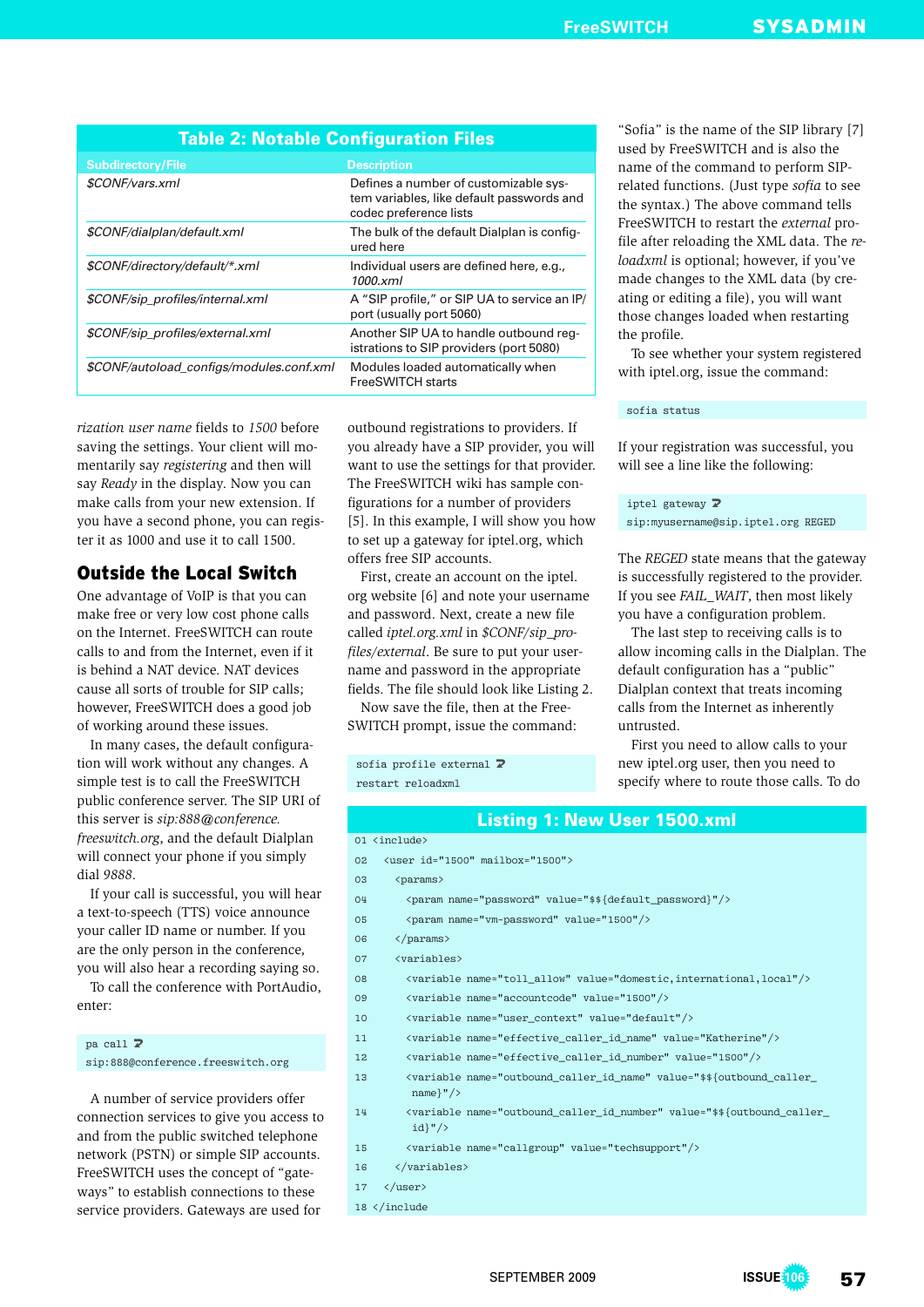| Table 2: Notable Configuration Files     |                                                                                                              |  |  |
|------------------------------------------|--------------------------------------------------------------------------------------------------------------|--|--|
| <b>Subdirectory/File</b>                 | <b>Description</b>                                                                                           |  |  |
| \$CONF/vars.xml                          | Defines a number of customizable sys-<br>tem variables, like default passwords and<br>codec preference lists |  |  |
| \$CONF/dialplan/default.xml              | The bulk of the default Dialplan is config-<br>ured here                                                     |  |  |
| \$CONF/directory/default/*.xml           | Individual users are defined here, e.g.,<br>1000.xml                                                         |  |  |
| \$CONF/sip_profiles/internal.xml         | A "SIP profile," or SIP UA to service an IP/<br>port (usually port 5060)                                     |  |  |
| \$CONF/sip profiles/external.xml         | Another SIP UA to handle outbound reg-<br>istrations to SIP providers (port 5080)                            |  |  |
| \$CONF/autoload configs/modules.conf.xml | Modules loaded automatically when<br><b>FreeSWITCH starts</b>                                                |  |  |
|                                          |                                                                                                              |  |  |

*rization user name* fields to *1500* before saving the settings. Your client will momentarily say *registering* and then will say *Ready* in the display. Now you can make calls from your new extension. If you have a second phone, you can register it as 1000 and use it to call 1500.

# Outside the Local Switch

One advantage of VoIP is that you can make free or very low cost phone calls on the Internet. FreeSWITCH can route calls to and from the Internet, even if it is behind a NAT device. NAT devices cause all sorts of trouble for SIP calls; however, FreeSWITCH does a good job of working around these issues.

In many cases, the default configuration will work without any changes. A simple test is to call the FreeSWITCH public conference server. The SIP URI of this server is *sip:888@conference. freeswitch.org*, and the default Dialplan will connect your phone if you simply dial *9888*.

If your call is successful, you will hear a text-to-speech (TTS) voice announce your caller ID name or number. If you are the only person in the conference, you will also hear a recording saying so.

To call the conference with PortAudio, enter:

### $pa$  call  $\nabla$ sip:888@conference.freeswitch.org

A number of service providers offer connection services to give you access to and from the public switched telephone network (PSTN) or simple SIP accounts. FreeSWITCH uses the concept of "gateways" to establish connections to these service providers. Gateways are used for

outbound registrations to providers. If you already have a SIP provider, you will want to use the settings for that provider. The FreeSWITCH wiki has sample configurations for a number of providers [5]. In this example, I will show you how to set up a gateway for iptel.org, which offers free SIP accounts.

First, create an account on the iptel. org website [6] and note your username and password. Next, create a new file called *iptel.org.xml* in *\$CONF/sip\_profiles/external*. Be sure to put your username and password in the appropriate fields. The file should look like Listing 2.

Now save the file, then at the Free-SWITCH prompt, issue the command:

sofia profile external  $\overline{z}$ restart reloadxml

"Sofia" is the name of the SIP library [7] used by FreeSWITCH and is also the name of the command to perform SIPrelated functions. (Just type *sofia* to see the syntax.) The above command tells FreeSWITCH to restart the *external* profile after reloading the XML data. The *reloadxml* is optional; however, if you've made changes to the XML data (by creating or editing a file), you will want those changes loaded when restarting the profile.

To see whether your system registered with iptel.org, issue the command:

#### sofia status

If your registration was successful, you will see a line like the following:

iptel gateway  $\overline{z}$ sip:myusername@sip.iptel.org REGED

The *REGED* state means that the gateway is successfully registered to the provider. If you see *FAIL\_WAIT*, then most likely you have a configuration problem.

The last step to receiving calls is to allow incoming calls in the Dialplan. The default configuration has a "public" Dialplan context that treats incoming calls from the Internet as inherently untrusted.

First you need to allow calls to your new iptel.org user, then you need to specify where to route those calls. To do

#### Listing 1: New User 1500.xml

01 <include>

- 02 <user id="1500" mailbox="1500">
- 03 <params>
- 04 <param name="password" value="\$\${default\_password}"/>
- 05 <param name="vm-password" value="1500"/>
- 06 </params>
- 07 <variables>
- 08 <variable name="toll\_allow" value="domestic,international,local"/>
- 09 <variable name="accountcode" value="1500"/>
- 10 <variable name="user\_context" value="default"/>
- 11 <variable name="effective\_caller\_id\_name" value="Katherine"/>
- 12 <variable name="effective\_caller\_id\_number" value="1500"/>
- 13 < variable name="outbound\_caller\_id\_name" value="\$\${outbound\_caller\_ name}"/>
- 14 < variable name="outbound\_caller\_id\_number" value="\$\${outbound\_caller\_ id}"/>
- 15 <variable name="callgroup" value="techsupport"/>
- 16 </variables>
- $17 \left\langle \text{luser} \right\rangle$
- 18 </include